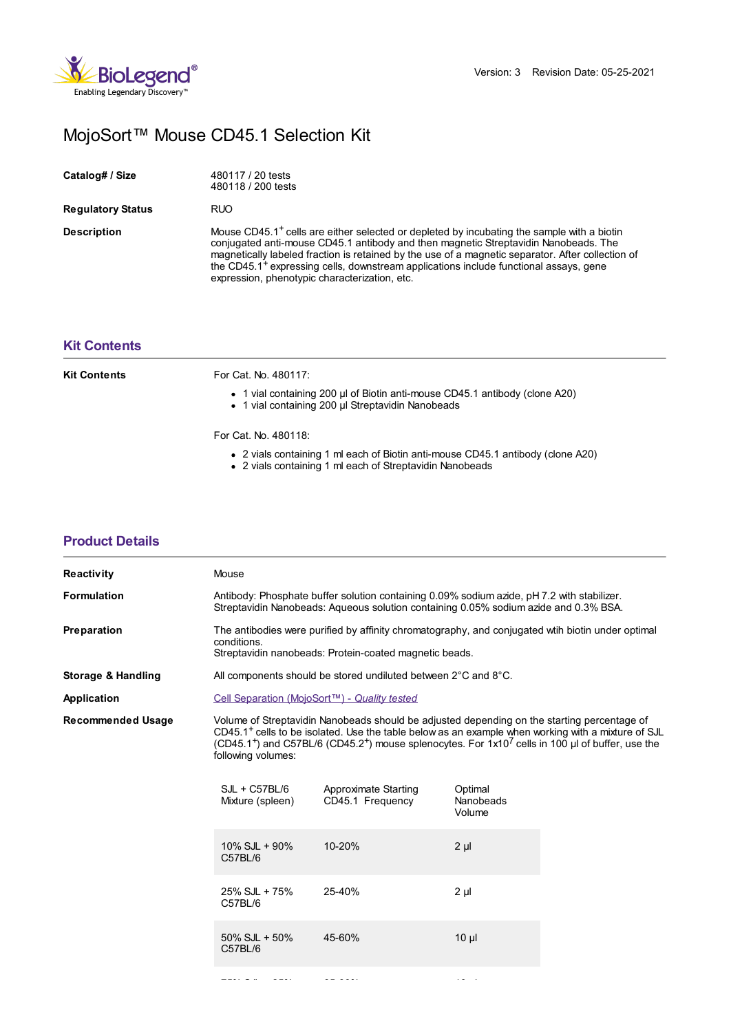

# MojoSort™ Mouse CD45.1 Selection Kit

| Catalog# / Size          | 480117 / 20 tests<br>480118 / 200 tests                                                                                                                                                                                                                                                                                                                                                                                                                  |
|--------------------------|----------------------------------------------------------------------------------------------------------------------------------------------------------------------------------------------------------------------------------------------------------------------------------------------------------------------------------------------------------------------------------------------------------------------------------------------------------|
| <b>Regulatory Status</b> | <b>RUO</b>                                                                                                                                                                                                                                                                                                                                                                                                                                               |
| <b>Description</b>       | Mouse CD45.1 <sup>+</sup> cells are either selected or depleted by incubating the sample with a biotin<br>conjugated anti-mouse CD45.1 antibody and then magnetic Streptavidin Nanobeads. The<br>magnetically labeled fraction is retained by the use of a magnetic separator. After collection of<br>the CD45.1 <sup>+</sup> expressing cells, downstream applications include functional assays, gene<br>expression, phenotypic characterization, etc. |

## **Kit [Contents](https://www.biolegend.com/nl-nl/products/mojosort-mouse-cd451-selection-kit-16642?pdf=true&displayInline=true&leftRightMargin=15&topBottomMargin=15&filename=MojoSort%EF%BF%BD%EF%BF%BD%EF%BF%BD Mouse CD45.1 Selection Kit.pdf#kitContents)**

**[Product](https://www.biolegend.com/nl-nl/products/mojosort-mouse-cd451-selection-kit-16642?pdf=true&displayInline=true&leftRightMargin=15&topBottomMargin=15&filename=MojoSort%EF%BF%BD%EF%BF%BD%EF%BF%BD Mouse CD45.1 Selection Kit.pdf#productDetails) Details**

| Kit Contents | For Cat. No. 480117:                                                                                                             |
|--------------|----------------------------------------------------------------------------------------------------------------------------------|
|              | • 1 vial containing 200 µl of Biotin anti-mouse CD45.1 antibody (clone A20)<br>• 1 vial containing 200 µl Streptavidin Nanobeads |

#### For Cat. No. 480118:

- 2 vials containing 1 ml each of Biotin anti-mouse CD45.1 antibody (clone A20)
- 2 vials containing 1 ml each of Streptavidin Nanobeads

| <b>Reactivity</b>        | Mouse                               |                                                                                                                                                                                                                                                                                                                                               |                                |  |  |
|--------------------------|-------------------------------------|-----------------------------------------------------------------------------------------------------------------------------------------------------------------------------------------------------------------------------------------------------------------------------------------------------------------------------------------------|--------------------------------|--|--|
| <b>Formulation</b>       |                                     | Antibody: Phosphate buffer solution containing 0.09% sodium azide, pH 7.2 with stabilizer.<br>Streptavidin Nanobeads: Aqueous solution containing 0.05% sodium azide and 0.3% BSA.                                                                                                                                                            |                                |  |  |
| Preparation              | conditions.                         | The antibodies were purified by affinity chromatography, and conjugated wih biotin under optimal<br>Streptavidin nanobeads: Protein-coated magnetic beads.                                                                                                                                                                                    |                                |  |  |
| Storage & Handling       |                                     | All components should be stored undiluted between 2°C and 8°C.                                                                                                                                                                                                                                                                                |                                |  |  |
| Application              |                                     | Cell Separation (MojoSort™) - Quality tested                                                                                                                                                                                                                                                                                                  |                                |  |  |
| <b>Recommended Usage</b> | following volumes:                  | Volume of Streptavidin Nanobeads should be adjusted depending on the starting percentage of<br>CD45.1 <sup>+</sup> cells to be isolated. Use the table below as an example when working with a mixture of SJL<br>(CD45.1 <sup>+</sup> ) and C57BL/6 (CD45.2 <sup>+</sup> ) mouse splenocytes. For $1x10^7$ cells in 100 µl of buffer, use the |                                |  |  |
|                          | $SJL + C57BL/6$<br>Mixture (spleen) | Approximate Starting<br>CD45.1 Frequency                                                                                                                                                                                                                                                                                                      | Optimal<br>Nanobeads<br>Volume |  |  |
|                          | $10\%$ SJL + 90%<br>C57BL/6         | 10-20%                                                                                                                                                                                                                                                                                                                                        | $2 \mu$                        |  |  |
|                          | 25% SJL + 75%<br>C57BL/6            | 25-40%                                                                                                                                                                                                                                                                                                                                        | $2 \mu$                        |  |  |
|                          | $50\%$ SJL + $50\%$<br>C57BL/6      | 45-60%                                                                                                                                                                                                                                                                                                                                        | $10 \mu$                       |  |  |
|                          |                                     |                                                                                                                                                                                                                                                                                                                                               |                                |  |  |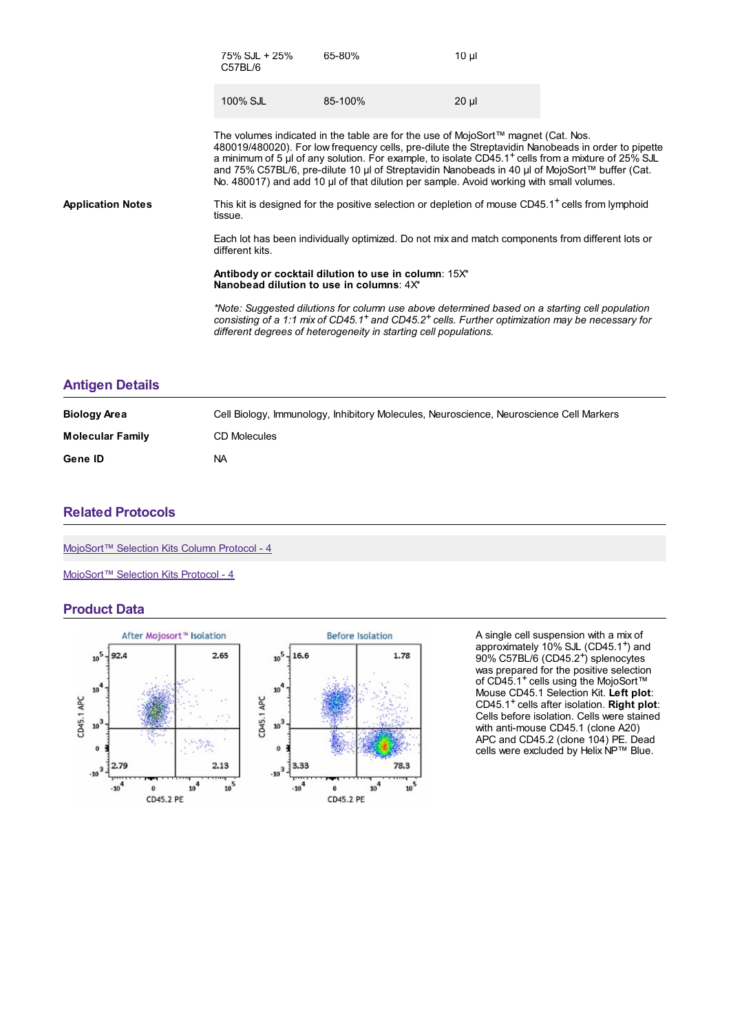|                          | $75\%$ SJL + 25%<br>C57BL/6                                                                                                                                                                                                                                                                                                                                                                                                                                                                             | 65-80%                                                                                                                                                                                                                                                                                        | $10 \mu$ |  |
|--------------------------|---------------------------------------------------------------------------------------------------------------------------------------------------------------------------------------------------------------------------------------------------------------------------------------------------------------------------------------------------------------------------------------------------------------------------------------------------------------------------------------------------------|-----------------------------------------------------------------------------------------------------------------------------------------------------------------------------------------------------------------------------------------------------------------------------------------------|----------|--|
|                          | 100% SJL                                                                                                                                                                                                                                                                                                                                                                                                                                                                                                | 85-100%                                                                                                                                                                                                                                                                                       | $20 \mu$ |  |
|                          | The volumes indicated in the table are for the use of MojoSort™ magnet (Cat. Nos.<br>480019/480020). For low frequency cells, pre-dilute the Streptavidin Nanobeads in order to pipette<br>a minimum of 5 µl of any solution. For example, to isolate CD45.1 <sup>+</sup> cells from a mixture of 25% SJL<br>and 75% C57BL/6, pre-dilute 10 µl of Streptavidin Nanobeads in 40 µl of MojoSort™ buffer (Cat.<br>No. 480017) and add 10 µl of that dilution per sample. Avoid working with small volumes. |                                                                                                                                                                                                                                                                                               |          |  |
| <b>Application Notes</b> | tissue.                                                                                                                                                                                                                                                                                                                                                                                                                                                                                                 | This kit is designed for the positive selection or depletion of mouse CD45.1 <sup>+</sup> cells from lymphoid                                                                                                                                                                                 |          |  |
|                          | Each lot has been individually optimized. Do not mix and match components from different lots or<br>different kits.                                                                                                                                                                                                                                                                                                                                                                                     |                                                                                                                                                                                                                                                                                               |          |  |
|                          | Antibody or cocktail dilution to use in column: 15X*<br>Nanobe ad dilution to use in columns: $4X^*$                                                                                                                                                                                                                                                                                                                                                                                                    |                                                                                                                                                                                                                                                                                               |          |  |
|                          |                                                                                                                                                                                                                                                                                                                                                                                                                                                                                                         | *Note: Suggested dilutions for column use above determined based on a starting cell population<br>consisting of a 1:1 mix of CD45.1 <sup>+</sup> and CD45.2 <sup>+</sup> cells. Further optimization may be necessary for<br>different degrees of heterogeneity in starting cell populations. |          |  |
|                          |                                                                                                                                                                                                                                                                                                                                                                                                                                                                                                         |                                                                                                                                                                                                                                                                                               |          |  |

#### **[Antigen](https://www.biolegend.com/nl-nl/products/mojosort-mouse-cd451-selection-kit-16642?pdf=true&displayInline=true&leftRightMargin=15&topBottomMargin=15&filename=MojoSort%EF%BF%BD%EF%BF%BD%EF%BF%BD Mouse CD45.1 Selection Kit.pdf#antigenDetails) Details**

| <b>Biology Area</b>     | Cell Biology, Immunology, Inhibitory Molecules, Neuroscience, Neuroscience Cell Markers |
|-------------------------|-----------------------------------------------------------------------------------------|
| <b>Molecular Family</b> | <b>CD Molecules</b>                                                                     |
| Gene ID                 | ΝA                                                                                      |

## **Related [Protocols](https://www.biolegend.com/nl-nl/products/mojosort-mouse-cd451-selection-kit-16642?pdf=true&displayInline=true&leftRightMargin=15&topBottomMargin=15&filename=MojoSort%EF%BF%BD%EF%BF%BD%EF%BF%BD Mouse CD45.1 Selection Kit.pdf#productRelatedProtocols)**

[MojoSort™](https://www.biolegend.com/protocols/mojosort-selection-kits-column-protocol-4/5007/) Selection Kits Column Protocol - 4

[MojoSort™](https://www.biolegend.com/protocols/mojosort-selection-kits-protocol-4/5001/) Selection Kits Protocol - 4

### **Product Data**



A single cell suspension with a mix of approximately 10% SJL (CD45.1<sup>+</sup>) and 90% C57BL/6 (CD45.2<sup>+</sup>) splenocytes was prepared for the positive selection of CD45.1<sup>+</sup> cells using the MojoSort™ Mouse CD45.1 Selection Kit. **Left plot**: CD45.1 cells after isolation. **Right plot**: Cells before isolation. Cells were stained with anti-mouse CD45.1 (clone A20) APC and CD45.2 (clone 104) PE. Dead cells were excluded by Helix NP™ Blue.  $+$  $^{+}$  $+$ <sub>1</sub>  $+$